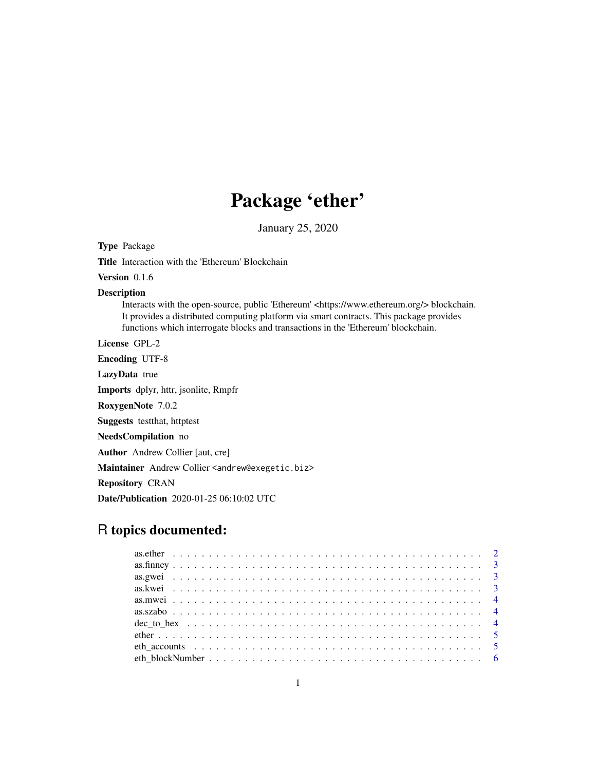## Package 'ether'

January 25, 2020

Title Interaction with the 'Ethereum' Blockchain Version 0.1.6 Description Interacts with the open-source, public 'Ethereum' <https://www.ethereum.org/> blockchain. It provides a distributed computing platform via smart contracts. This package provides functions which interrogate blocks and transactions in the 'Ethereum' blockchain. License GPL-2 Encoding UTF-8 LazyData true Imports dplyr, httr, jsonlite, Rmpfr RoxygenNote 7.0.2 Suggests testthat, httptest NeedsCompilation no Author Andrew Collier [aut, cre] Maintainer Andrew Collier <andrew@exegetic.biz> Repository CRAN Date/Publication 2020-01-25 06:10:02 UTC

## R topics documented:

Type Package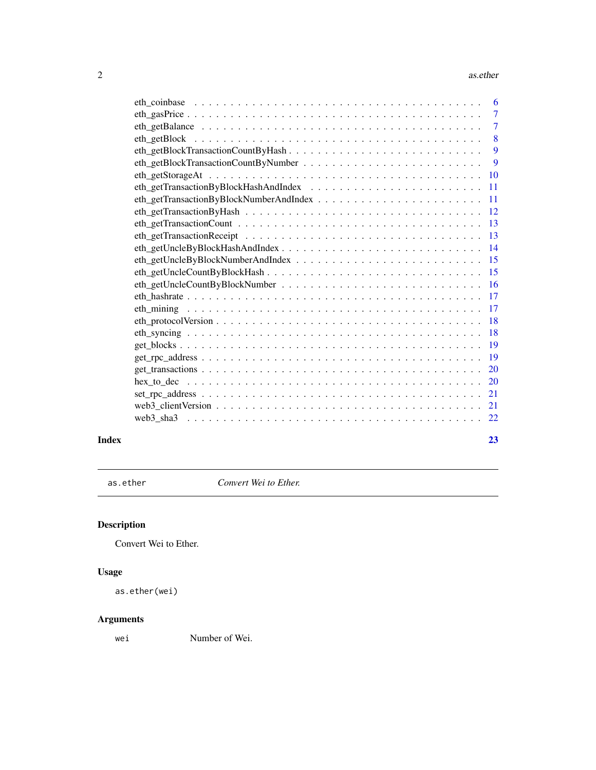#### <span id="page-1-0"></span>2 as. ether asset of the state of the state of the state of the state of the state of the state of the state of the state of the state of the state of the state of the state of the state of the state of the state of the st

|       | $6^{\circ}$     |
|-------|-----------------|
|       |                 |
|       | $\overline{7}$  |
|       | 8               |
|       | 9               |
|       | -9              |
|       |                 |
|       | <b>11</b>       |
|       |                 |
|       |                 |
|       | -13             |
|       |                 |
|       | $\overline{14}$ |
|       | $-15$           |
|       |                 |
|       |                 |
|       |                 |
|       | -17             |
|       | -18             |
|       |                 |
|       | -19             |
|       |                 |
|       |                 |
|       | 20              |
|       | 21              |
|       |                 |
|       |                 |
| Index | 23              |

as.ether *Convert Wei to Ether.*

### Description

Convert Wei to Ether.

### Usage

```
as.ether(wei)
```
### Arguments

wei Number of Wei.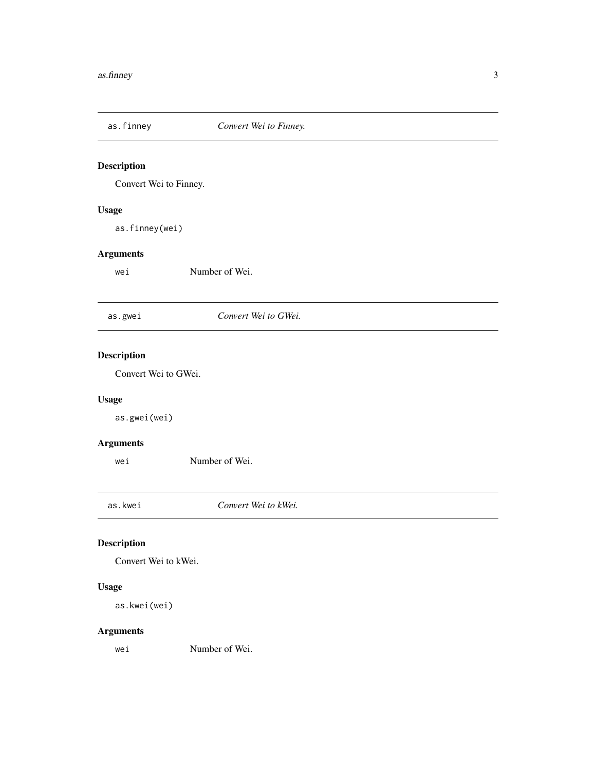<span id="page-2-0"></span>

Convert Wei to Finney.

### Usage

as.finney(wei)

### Arguments

wei Number of Wei.

### as.gwei *Convert Wei to GWei.*

### Description

Convert Wei to GWei.

### Usage

as.gwei(wei)

#### Arguments

wei Number of Wei.

as.kwei *Convert Wei to kWei.*

### Description

Convert Wei to kWei.

#### Usage

as.kwei(wei)

### Arguments

wei Number of Wei.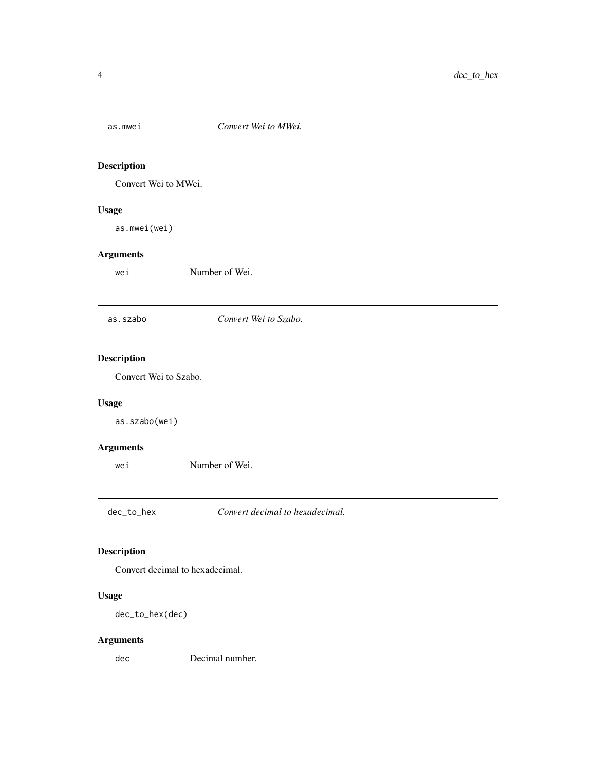<span id="page-3-0"></span>

Convert Wei to MWei.

### Usage

as.mwei(wei)

### Arguments

wei Number of Wei.

### as.szabo *Convert Wei to Szabo.*

### Description

Convert Wei to Szabo.

### Usage

as.szabo(wei)

### Arguments

wei Number of Wei.

dec\_to\_hex *Convert decimal to hexadecimal.*

### Description

Convert decimal to hexadecimal.

### Usage

dec\_to\_hex(dec)

### Arguments

dec Decimal number.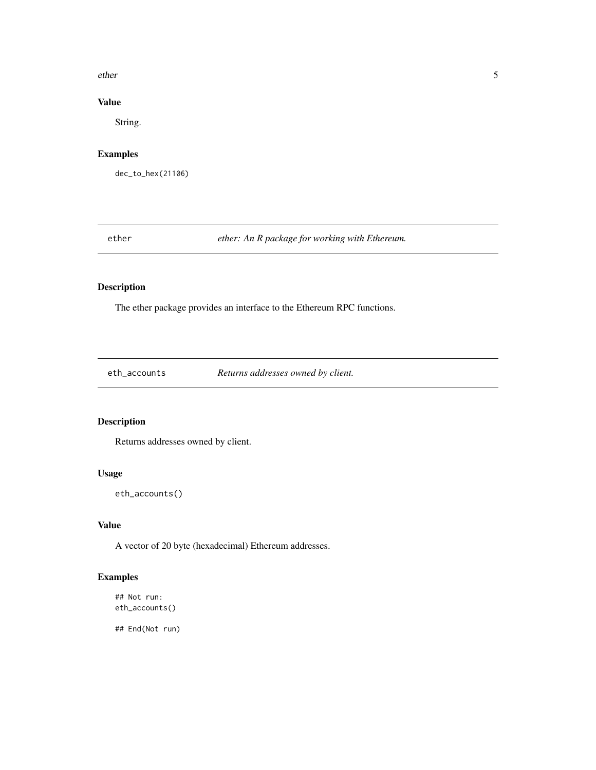#### <span id="page-4-0"></span>ether 5

### Value

String.

### Examples

dec\_to\_hex(21106)

ether *ether: An R package for working with Ethereum.*

### Description

The ether package provides an interface to the Ethereum RPC functions.

eth\_accounts *Returns addresses owned by client.*

### Description

Returns addresses owned by client.

### Usage

eth\_accounts()

### Value

A vector of 20 byte (hexadecimal) Ethereum addresses.

### Examples

## Not run: eth\_accounts()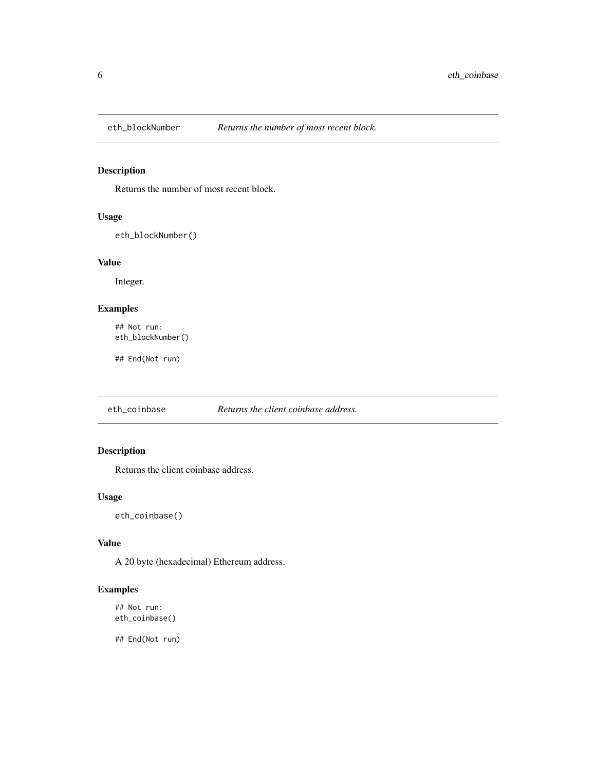<span id="page-5-0"></span>

Returns the number of most recent block.

### Usage

eth\_blockNumber()

### Value

Integer.

### Examples

## Not run: eth\_blockNumber()

## End(Not run)

eth\_coinbase *Returns the client coinbase address.*

### Description

Returns the client coinbase address.

### Usage

eth\_coinbase()

### Value

A 20 byte (hexadecimal) Ethereum address.

### Examples

## Not run: eth\_coinbase()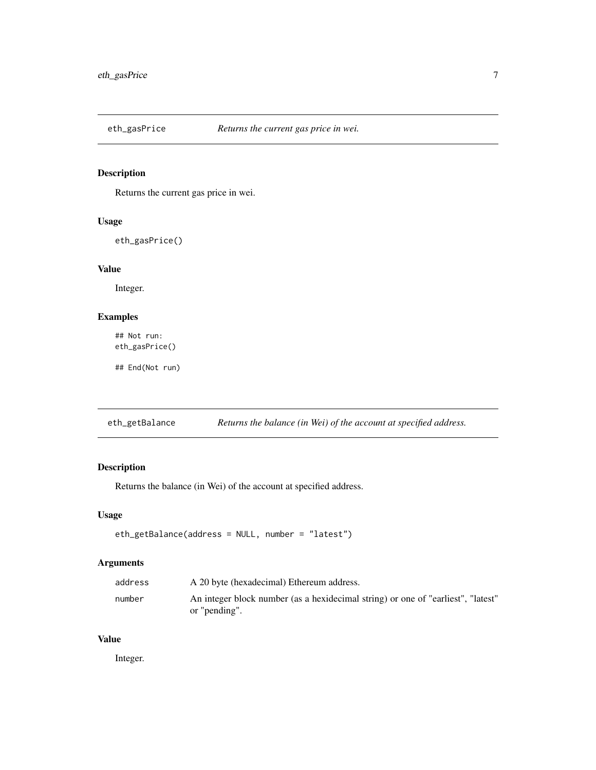<span id="page-6-0"></span>

Returns the current gas price in wei.

### Usage

eth\_gasPrice()

### Value

Integer.

### Examples

## Not run: eth\_gasPrice()

## End(Not run)

eth\_getBalance *Returns the balance (in Wei) of the account at specified address.*

### Description

Returns the balance (in Wei) of the account at specified address.

#### Usage

```
eth_getBalance(address = NULL, number = "latest")
```
### Arguments

| address | A 20 byte (hexadecimal) Ethereum address.                                                         |
|---------|---------------------------------------------------------------------------------------------------|
| number  | An integer block number (as a hexidecimal string) or one of "earliest", "latest"<br>or "pending". |

#### Value

Integer.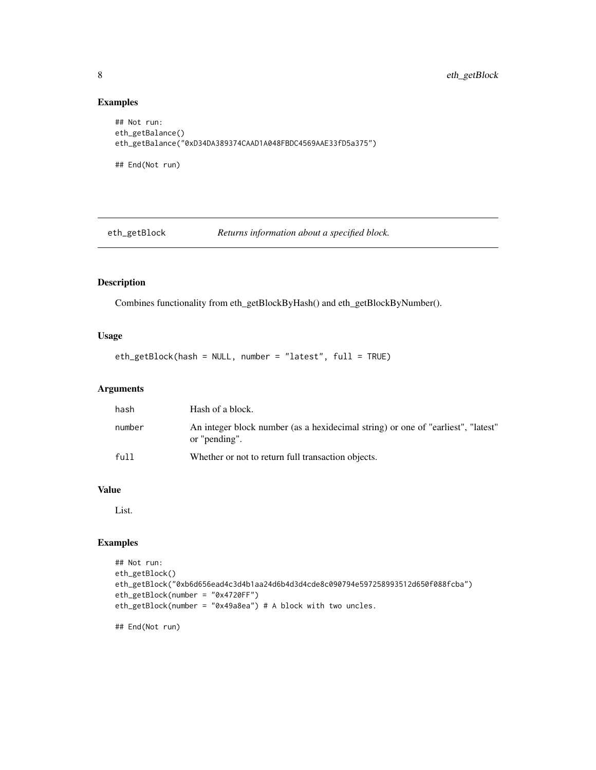### Examples

```
## Not run:
eth_getBalance()
eth_getBalance("0xD34DA389374CAAD1A048FBDC4569AAE33fD5a375")
## End(Not run)
```
eth\_getBlock *Returns information about a specified block.*

### Description

Combines functionality from eth\_getBlockByHash() and eth\_getBlockByNumber().

### Usage

eth\_getBlock(hash = NULL, number = "latest", full = TRUE)

#### Arguments

| hash   | Hash of a block.                                                                                  |
|--------|---------------------------------------------------------------------------------------------------|
| number | An integer block number (as a hexidecimal string) or one of "earliest", "latest"<br>or "pending". |
| full   | Whether or not to return full transaction objects.                                                |

#### Value

List.

### Examples

```
## Not run:
eth_getBlock()
eth_getBlock("0xb6d656ead4c3d4b1aa24d6b4d3d4cde8c090794e597258993512d650f088fcba")
eth_getBlock(number = "0x4720FF")
eth_getBlock(number = "0x49a8ea") # A block with two uncles.
```
<span id="page-7-0"></span>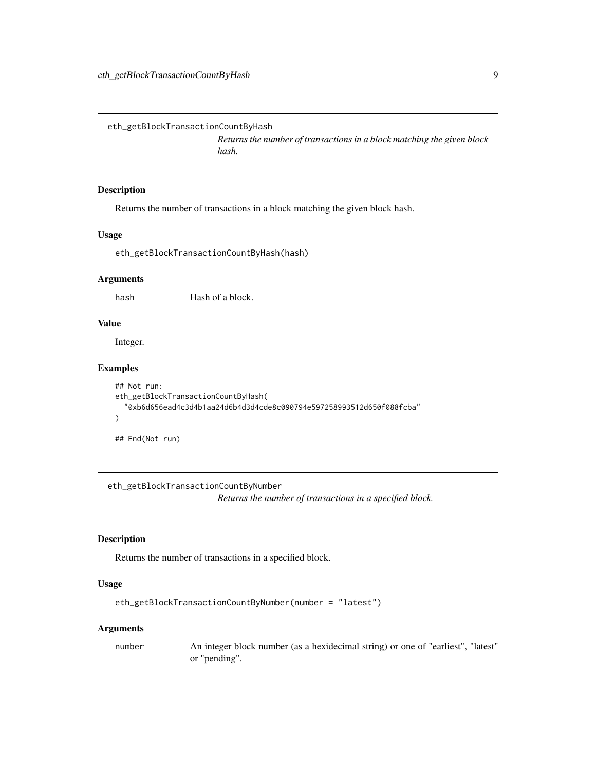<span id="page-8-0"></span>eth\_getBlockTransactionCountByHash

*Returns the number of transactions in a block matching the given block hash.*

#### Description

Returns the number of transactions in a block matching the given block hash.

### Usage

eth\_getBlockTransactionCountByHash(hash)

### **Arguments**

hash Hash of a block.

#### Value

Integer.

### Examples

```
## Not run:
eth_getBlockTransactionCountByHash(
  "0xb6d656ead4c3d4b1aa24d6b4d3d4cde8c090794e597258993512d650f088fcba"
)
```
## End(Not run)

eth\_getBlockTransactionCountByNumber

*Returns the number of transactions in a specified block.*

### Description

Returns the number of transactions in a specified block.

### Usage

```
eth_getBlockTransactionCountByNumber(number = "latest")
```
#### Arguments

number An integer block number (as a hexidecimal string) or one of "earliest", "latest" or "pending".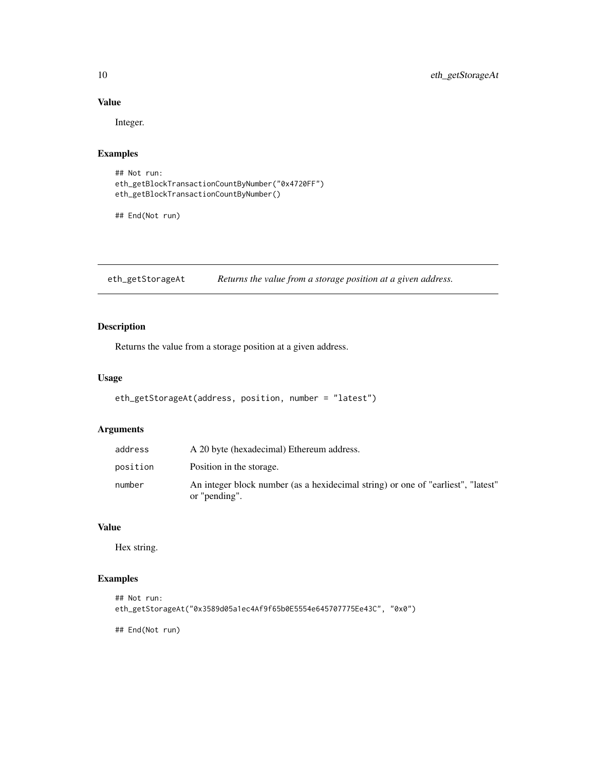### Value

Integer.

### Examples

```
## Not run:
eth_getBlockTransactionCountByNumber("0x4720FF")
eth_getBlockTransactionCountByNumber()
```
## End(Not run)

eth\_getStorageAt *Returns the value from a storage position at a given address.*

### Description

Returns the value from a storage position at a given address.

### Usage

```
eth_getStorageAt(address, position, number = "latest")
```
#### Arguments

| address  | A 20 byte (hexadecimal) Ethereum address.                                                         |
|----------|---------------------------------------------------------------------------------------------------|
| position | Position in the storage.                                                                          |
| number   | An integer block number (as a hexidecimal string) or one of "earliest", "latest"<br>or "pending". |

#### Value

Hex string.

### Examples

```
## Not run:
eth_getStorageAt("0x3589d05a1ec4Af9f65b0E5554e645707775Ee43C", "0x0")
```
<span id="page-9-0"></span>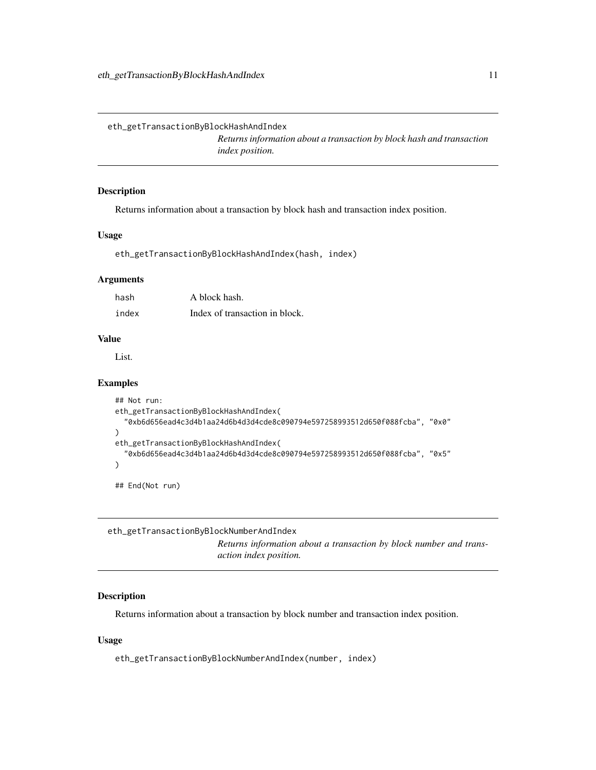<span id="page-10-0"></span>eth\_getTransactionByBlockHashAndIndex

*Returns information about a transaction by block hash and transaction index position.*

### Description

Returns information about a transaction by block hash and transaction index position.

### Usage

eth\_getTransactionByBlockHashAndIndex(hash, index)

#### **Arguments**

| hash  | A block hash.                  |
|-------|--------------------------------|
| index | Index of transaction in block. |

#### Value

List.

#### Examples

```
## Not run:
eth_getTransactionByBlockHashAndIndex(
  "0xb6d656ead4c3d4b1aa24d6b4d3d4cde8c090794e597258993512d650f088fcba", "0x0"
\mathcal{L}eth_getTransactionByBlockHashAndIndex(
  "0xb6d656ead4c3d4b1aa24d6b4d3d4cde8c090794e597258993512d650f088fcba", "0x5"
\mathcal{L}
```
## End(Not run)

eth\_getTransactionByBlockNumberAndIndex

*Returns information about a transaction by block number and transaction index position.*

### Description

Returns information about a transaction by block number and transaction index position.

#### Usage

eth\_getTransactionByBlockNumberAndIndex(number, index)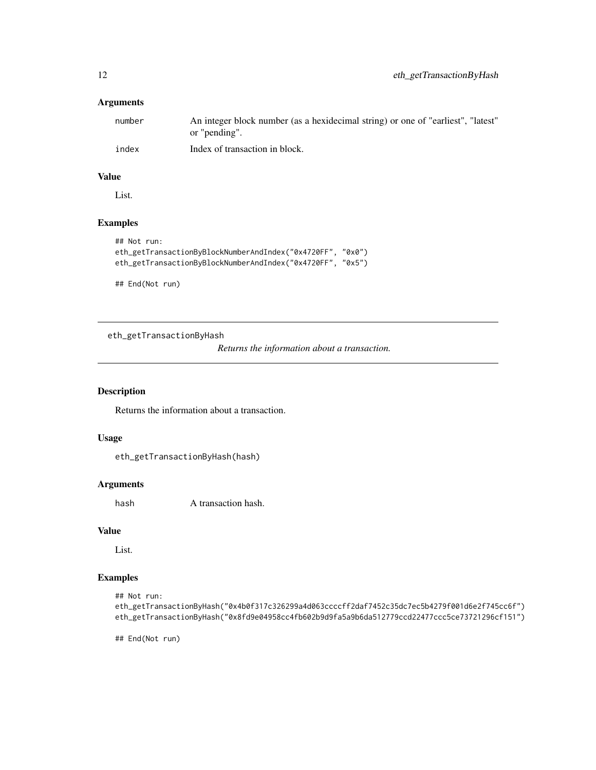### <span id="page-11-0"></span>Arguments

| number | An integer block number (as a hexidecimal string) or one of "earliest", "latest" |
|--------|----------------------------------------------------------------------------------|
|        | or "pending".                                                                    |
| index  | Index of transaction in block.                                                   |

### Value

List.

### Examples

```
## Not run:
eth_getTransactionByBlockNumberAndIndex("0x4720FF", "0x0")
eth_getTransactionByBlockNumberAndIndex("0x4720FF", "0x5")
```
## End(Not run)

eth\_getTransactionByHash

*Returns the information about a transaction.*

### Description

Returns the information about a transaction.

### Usage

```
eth_getTransactionByHash(hash)
```
#### Arguments

hash A transaction hash.

#### Value

List.

### Examples

```
## Not run:
```
eth\_getTransactionByHash("0x4b0f317c326299a4d063ccccff2daf7452c35dc7ec5b4279f001d6e2f745cc6f") eth\_getTransactionByHash("0x8fd9e04958cc4fb602b9d9fa5a9b6da512779ccd22477ccc5ce73721296cf151")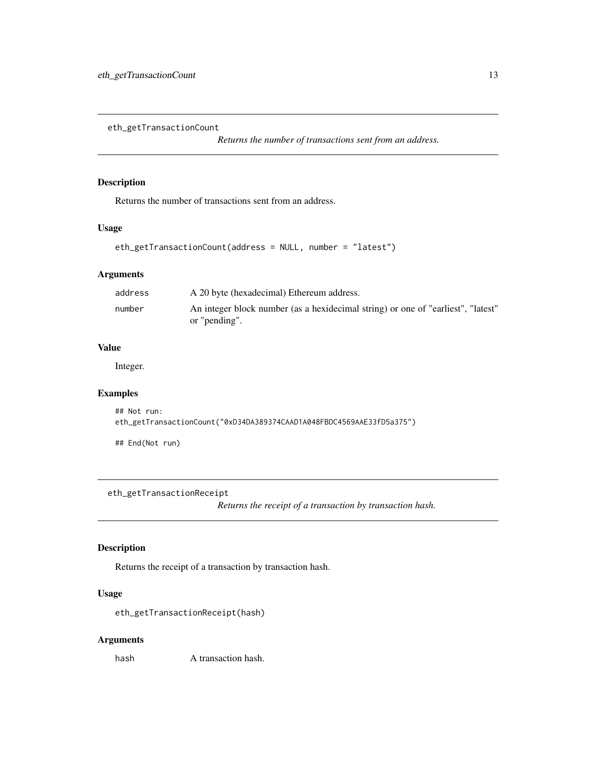<span id="page-12-0"></span>eth\_getTransactionCount

*Returns the number of transactions sent from an address.*

### Description

Returns the number of transactions sent from an address.

#### Usage

```
eth_getTransactionCount(address = NULL, number = "latest")
```
### Arguments

| address | A 20 byte (hexadecimal) Ethereum address.                                                         |
|---------|---------------------------------------------------------------------------------------------------|
| number  | An integer block number (as a hexidecimal string) or one of "earliest", "latest"<br>or "pending". |

### Value

Integer.

### Examples

```
## Not run:
eth_getTransactionCount("0xD34DA389374CAAD1A048FBDC4569AAE33fD5a375")
```
## End(Not run)

eth\_getTransactionReceipt

*Returns the receipt of a transaction by transaction hash.*

### Description

Returns the receipt of a transaction by transaction hash.

### Usage

eth\_getTransactionReceipt(hash)

#### Arguments

hash A transaction hash.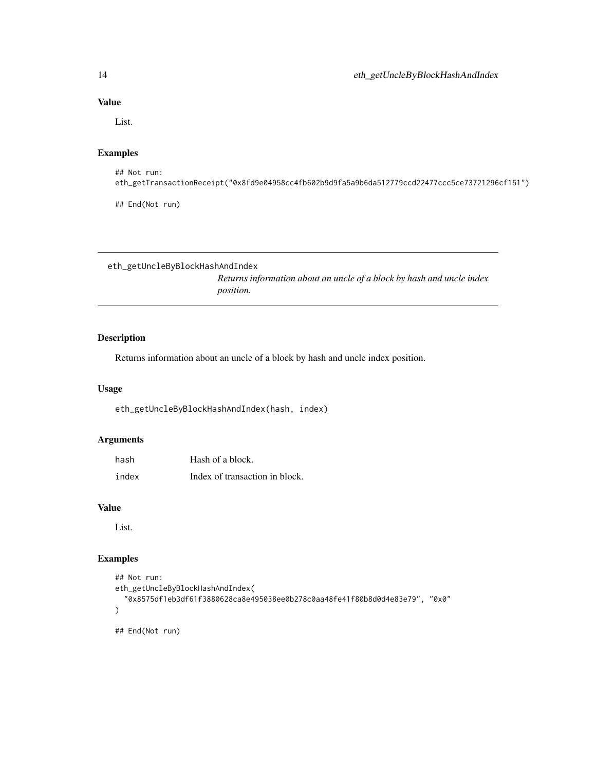### Value

List.

### Examples

## Not run: eth\_getTransactionReceipt("0x8fd9e04958cc4fb602b9d9fa5a9b6da512779ccd22477ccc5ce73721296cf151")

## End(Not run)

eth\_getUncleByBlockHashAndIndex

*Returns information about an uncle of a block by hash and uncle index position.*

### Description

Returns information about an uncle of a block by hash and uncle index position.

#### Usage

eth\_getUncleByBlockHashAndIndex(hash, index)

### Arguments

| hash  | Hash of a block.               |
|-------|--------------------------------|
| index | Index of transaction in block. |

### Value

List.

### Examples

```
## Not run:
eth_getUncleByBlockHashAndIndex(
  "0x8575df1eb3df61f3880628ca8e495038ee0b278c0aa48fe41f80b8d0d4e83e79", "0x0"
\mathcal{L}## End(Not run)
```
<span id="page-13-0"></span>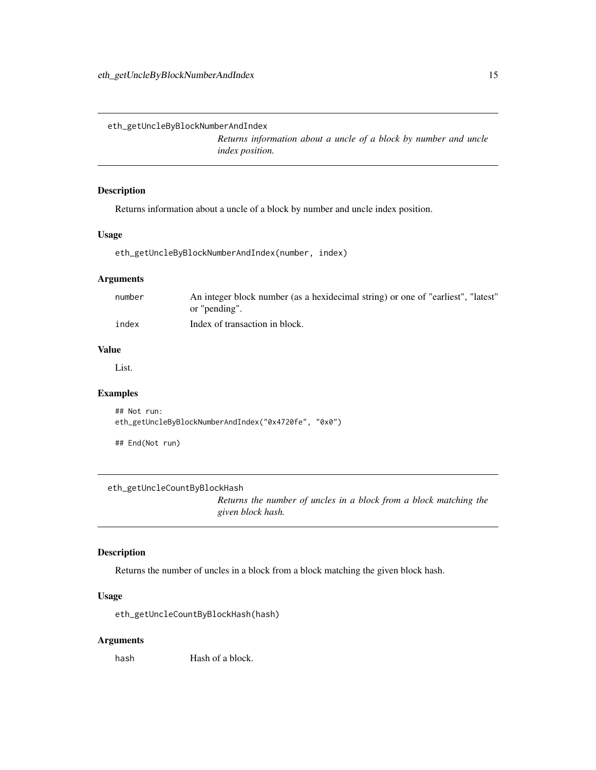<span id="page-14-0"></span>eth\_getUncleByBlockNumberAndIndex

*Returns information about a uncle of a block by number and uncle index position.*

### Description

Returns information about a uncle of a block by number and uncle index position.

### Usage

eth\_getUncleByBlockNumberAndIndex(number, index)

### Arguments

| number | An integer block number (as a hexidecimal string) or one of "earliest", "latest" |
|--------|----------------------------------------------------------------------------------|
|        | or "pending".                                                                    |
| index  | Index of transaction in block.                                                   |

#### Value

List.

### Examples

```
## Not run:
eth_getUncleByBlockNumberAndIndex("0x4720fe", "0x0")
```
## End(Not run)

eth\_getUncleCountByBlockHash

*Returns the number of uncles in a block from a block matching the given block hash.*

### Description

Returns the number of uncles in a block from a block matching the given block hash.

#### Usage

eth\_getUncleCountByBlockHash(hash)

#### Arguments

hash Hash of a block.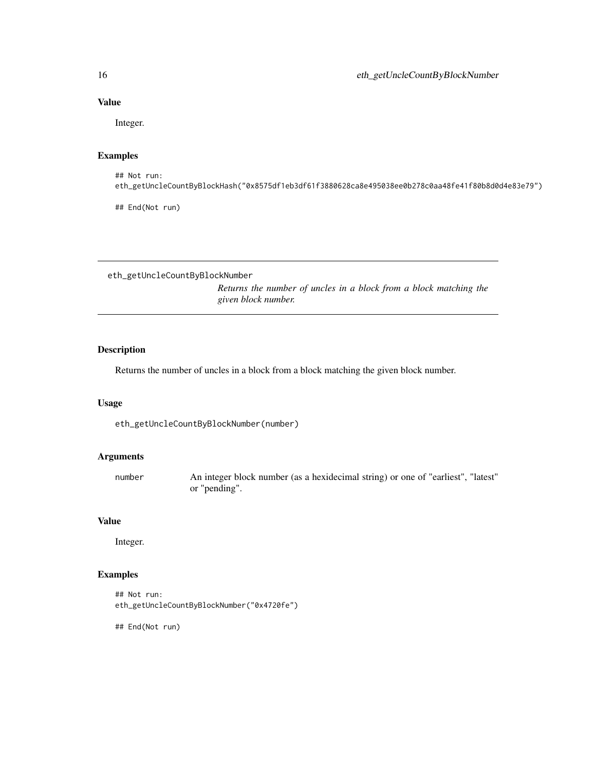### Value

Integer.

### Examples

```
## Not run:
eth_getUncleCountByBlockHash("0x8575df1eb3df61f3880628ca8e495038ee0b278c0aa48fe41f80b8d0d4e83e79")
```
## End(Not run)

eth\_getUncleCountByBlockNumber

*Returns the number of uncles in a block from a block matching the given block number.*

### Description

Returns the number of uncles in a block from a block matching the given block number.

#### Usage

eth\_getUncleCountByBlockNumber(number)

### Arguments

| number | An integer block number (as a hexidecimal string) or one of "earliest", "latest" |
|--------|----------------------------------------------------------------------------------|
|        | or "pending".                                                                    |

#### Value

Integer.

### Examples

```
## Not run:
eth_getUncleCountByBlockNumber("0x4720fe")
```
<span id="page-15-0"></span>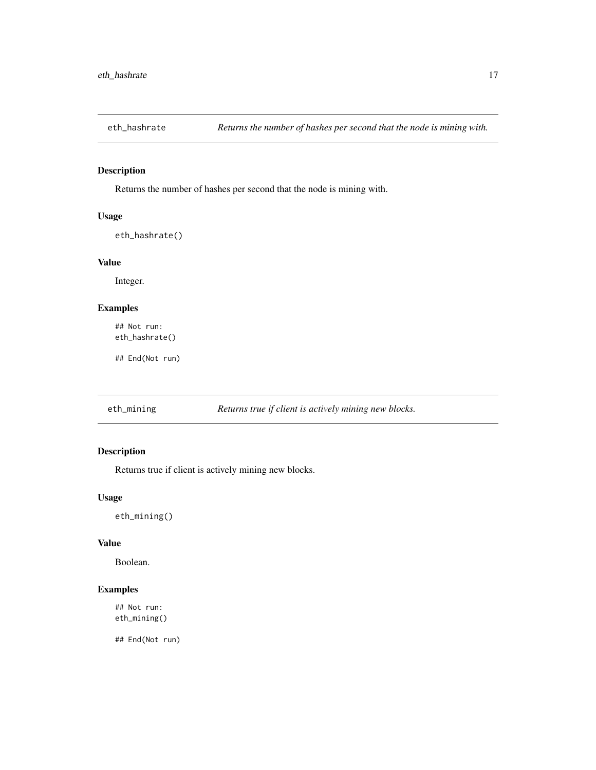<span id="page-16-0"></span>

Returns the number of hashes per second that the node is mining with.

### Usage

eth\_hashrate()

### Value

Integer.

### Examples

## Not run: eth\_hashrate()

## End(Not run)

eth\_mining *Returns true if client is actively mining new blocks.*

### Description

Returns true if client is actively mining new blocks.

#### Usage

eth\_mining()

#### Value

Boolean.

### Examples

## Not run: eth\_mining()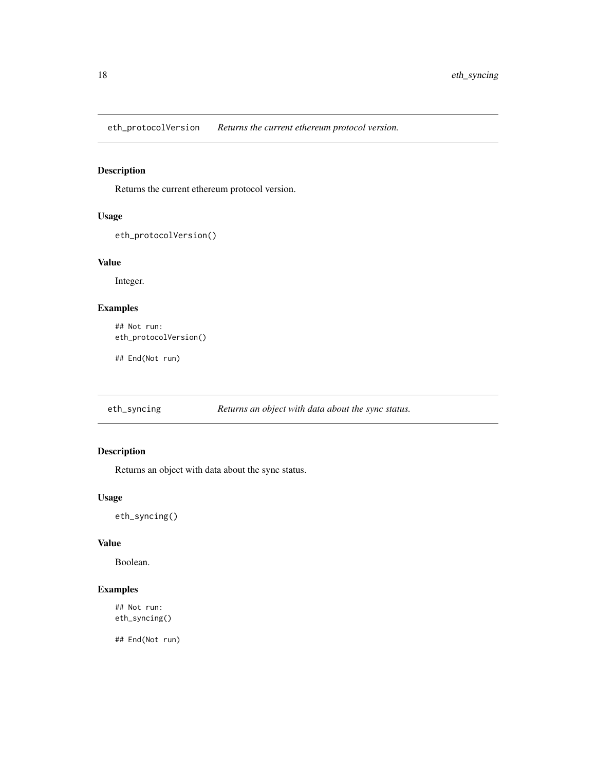<span id="page-17-0"></span>eth\_protocolVersion *Returns the current ethereum protocol version.*

### Description

Returns the current ethereum protocol version.

### Usage

```
eth_protocolVersion()
```
#### Value

Integer.

### Examples

```
## Not run:
eth_protocolVersion()
```
## End(Not run)

eth\_syncing *Returns an object with data about the sync status.*

### Description

Returns an object with data about the sync status.

### Usage

eth\_syncing()

### Value

Boolean.

### Examples

## Not run: eth\_syncing()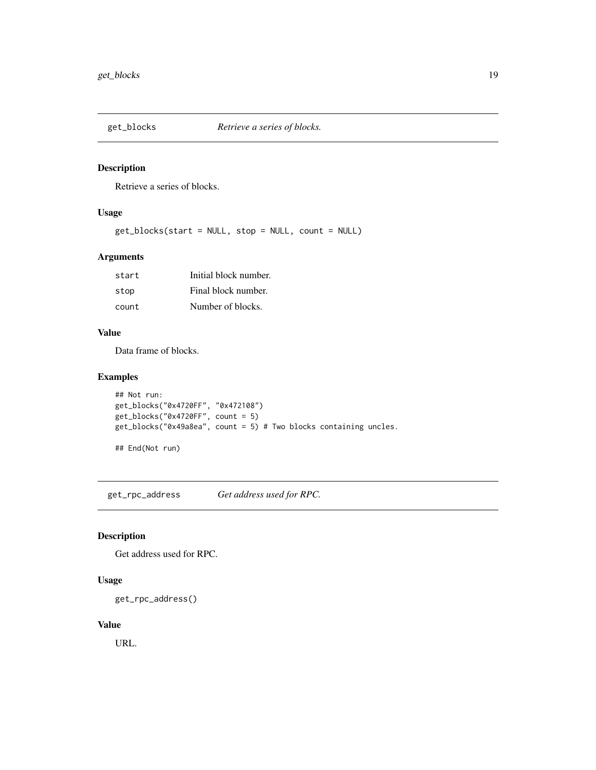<span id="page-18-0"></span>

Retrieve a series of blocks.

### Usage

get\_blocks(start = NULL, stop = NULL, count = NULL)

### Arguments

| start | Initial block number. |
|-------|-----------------------|
| stop  | Final block number.   |
| count | Number of blocks.     |

### Value

Data frame of blocks.

### Examples

```
## Not run:
get_blocks("0x4720FF", "0x472108")
get_blocks("0x4720FF", count = 5)
get_blocks("0x49a8ea", count = 5) # Two blocks containing uncles.
```
## End(Not run)

get\_rpc\_address *Get address used for RPC.*

### Description

Get address used for RPC.

### Usage

```
get_rpc_address()
```
### Value

URL.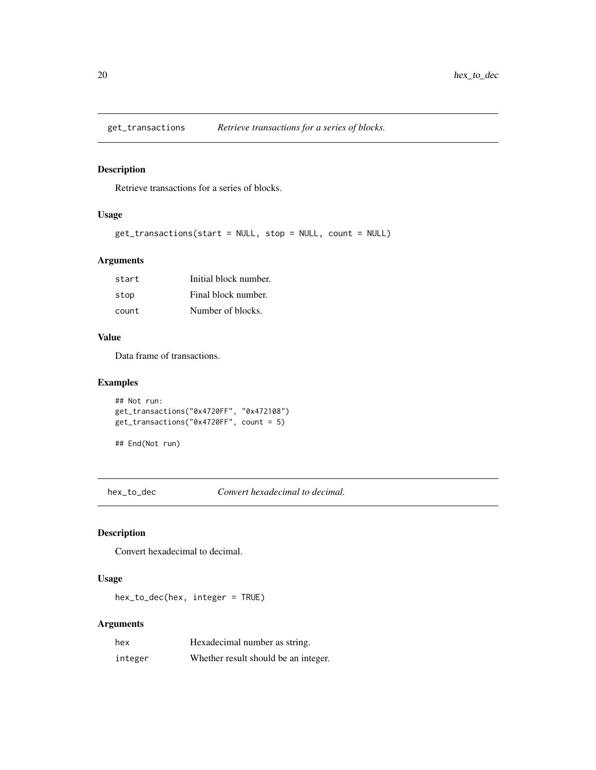<span id="page-19-0"></span>

Retrieve transactions for a series of blocks.

### Usage

get\_transactions(start = NULL, stop = NULL, count = NULL)

### Arguments

| start | Initial block number. |
|-------|-----------------------|
| stop  | Final block number.   |
| count | Number of blocks.     |

### Value

Data frame of transactions.

### Examples

```
## Not run:
get_transactions("0x4720FF", "0x472108")
get_transactions("0x4720FF", count = 5)
```

```
## End(Not run)
```
hex\_to\_dec *Convert hexadecimal to decimal.*

### Description

Convert hexadecimal to decimal.

### Usage

hex\_to\_dec(hex, integer = TRUE)

### Arguments

| hex     | Hexadecimal number as string.        |
|---------|--------------------------------------|
| integer | Whether result should be an integer. |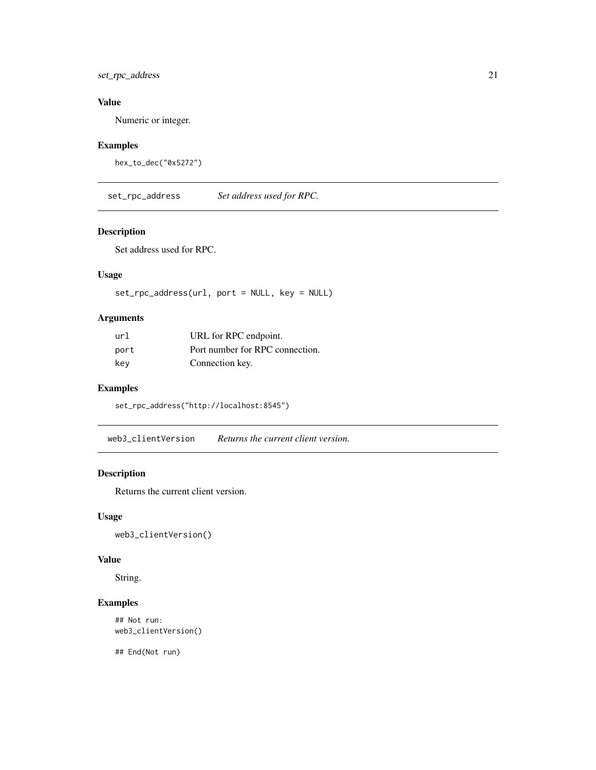<span id="page-20-0"></span>set\_rpc\_address 21

### Value

Numeric or integer.

### Examples

```
hex_to_dec("0x5272")
```
set\_rpc\_address *Set address used for RPC.*

#### Description

Set address used for RPC.

### Usage

set\_rpc\_address(url, port = NULL, key = NULL)

### Arguments

| url  | URL for RPC endpoint.           |
|------|---------------------------------|
| port | Port number for RPC connection. |
| key  | Connection key.                 |

### Examples

set\_rpc\_address("http://localhost:8545")

web3\_clientVersion *Returns the current client version.*

### Description

Returns the current client version.

### Usage

web3\_clientVersion()

### Value

String.

### Examples

## Not run: web3\_clientVersion()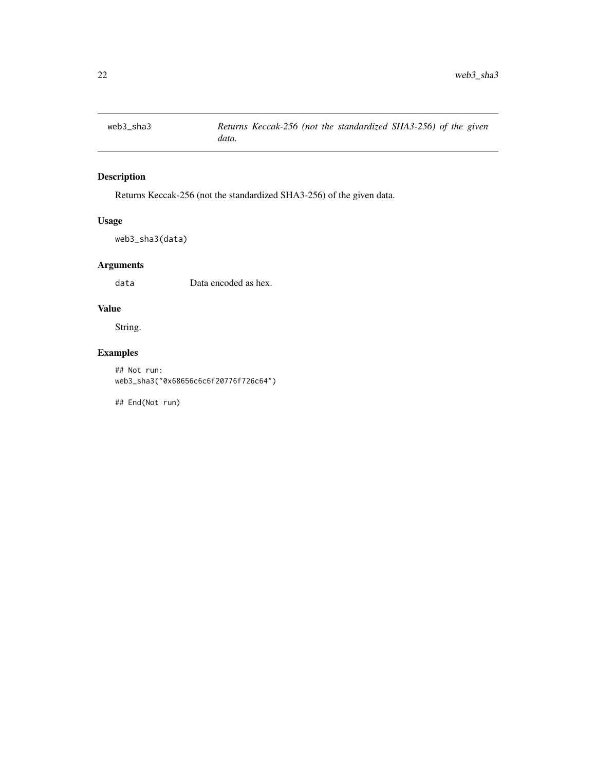<span id="page-21-0"></span>

Returns Keccak-256 (not the standardized SHA3-256) of the given data.

### Usage

web3\_sha3(data)

### Arguments

data Data encoded as hex.

### Value

String.

### Examples

```
## Not run:
web3_sha3("0x68656c6c6f20776f726c64")
```